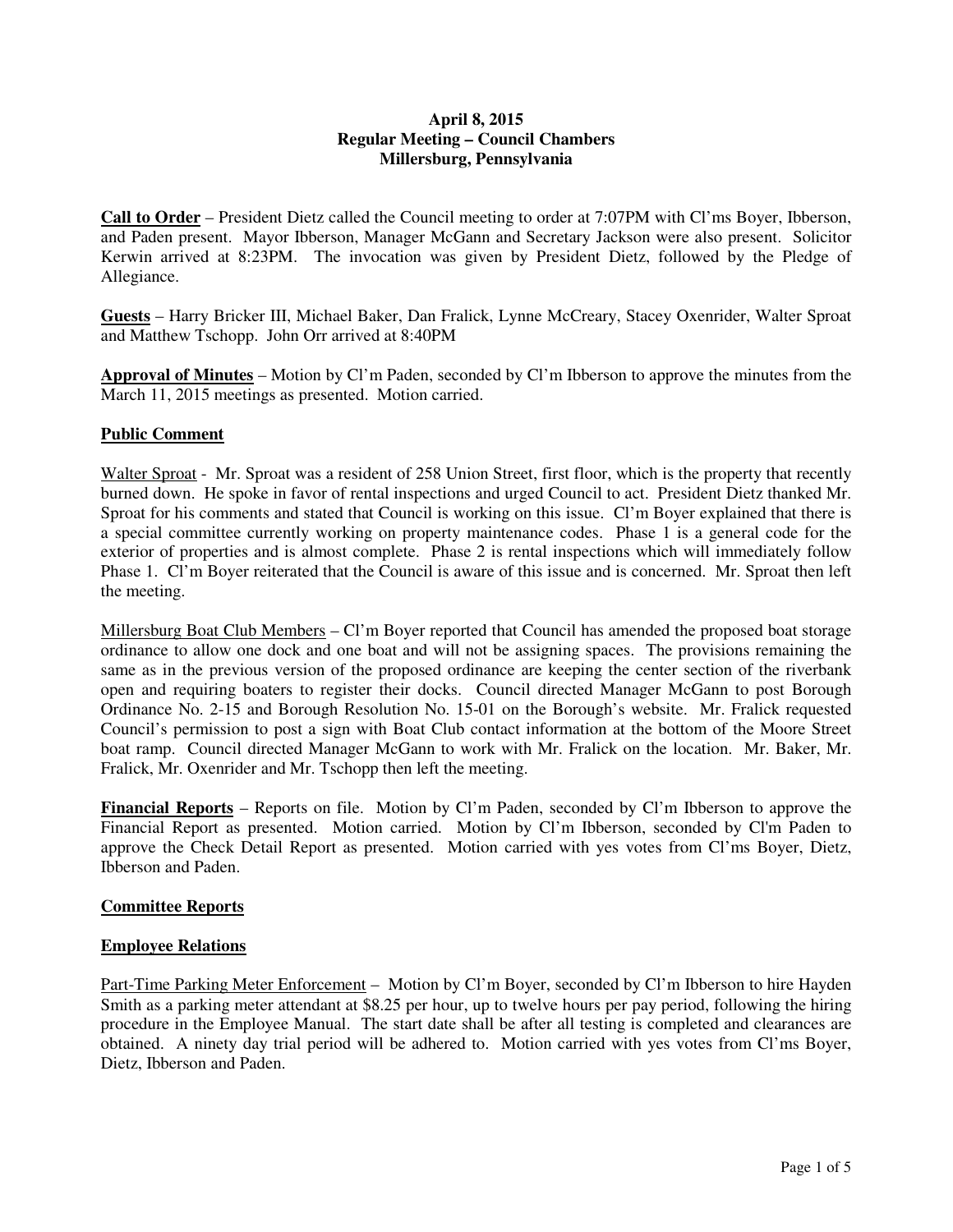# **April 8, 2015 Regular Meeting – Council Chambers Millersburg, Pennsylvania**

**Call to Order** – President Dietz called the Council meeting to order at 7:07PM with Cl'ms Boyer, Ibberson, and Paden present. Mayor Ibberson, Manager McGann and Secretary Jackson were also present. Solicitor Kerwin arrived at 8:23PM. The invocation was given by President Dietz, followed by the Pledge of Allegiance.

**Guests** – Harry Bricker III, Michael Baker, Dan Fralick, Lynne McCreary, Stacey Oxenrider, Walter Sproat and Matthew Tschopp. John Orr arrived at 8:40PM

**Approval of Minutes** – Motion by Cl'm Paden, seconded by Cl'm Ibberson to approve the minutes from the March 11, 2015 meetings as presented. Motion carried.

# **Public Comment**

Walter Sproat - Mr. Sproat was a resident of 258 Union Street, first floor, which is the property that recently burned down. He spoke in favor of rental inspections and urged Council to act. President Dietz thanked Mr. Sproat for his comments and stated that Council is working on this issue. Cl'm Boyer explained that there is a special committee currently working on property maintenance codes. Phase 1 is a general code for the exterior of properties and is almost complete. Phase 2 is rental inspections which will immediately follow Phase 1. Cl'm Boyer reiterated that the Council is aware of this issue and is concerned. Mr. Sproat then left the meeting.

Millersburg Boat Club Members – Cl'm Boyer reported that Council has amended the proposed boat storage ordinance to allow one dock and one boat and will not be assigning spaces. The provisions remaining the same as in the previous version of the proposed ordinance are keeping the center section of the riverbank open and requiring boaters to register their docks. Council directed Manager McGann to post Borough Ordinance No. 2-15 and Borough Resolution No. 15-01 on the Borough's website. Mr. Fralick requested Council's permission to post a sign with Boat Club contact information at the bottom of the Moore Street boat ramp. Council directed Manager McGann to work with Mr. Fralick on the location. Mr. Baker, Mr. Fralick, Mr. Oxenrider and Mr. Tschopp then left the meeting.

**Financial Reports** – Reports on file. Motion by Cl'm Paden, seconded by Cl'm Ibberson to approve the Financial Report as presented. Motion carried. Motion by Cl'm Ibberson, seconded by Cl'm Paden to approve the Check Detail Report as presented. Motion carried with yes votes from Cl'ms Boyer, Dietz, Ibberson and Paden.

# **Committee Reports**

# **Employee Relations**

Part-Time Parking Meter Enforcement – Motion by Cl'm Boyer, seconded by Cl'm Ibberson to hire Hayden Smith as a parking meter attendant at \$8.25 per hour, up to twelve hours per pay period, following the hiring procedure in the Employee Manual. The start date shall be after all testing is completed and clearances are obtained. A ninety day trial period will be adhered to. Motion carried with yes votes from Cl'ms Boyer, Dietz, Ibberson and Paden.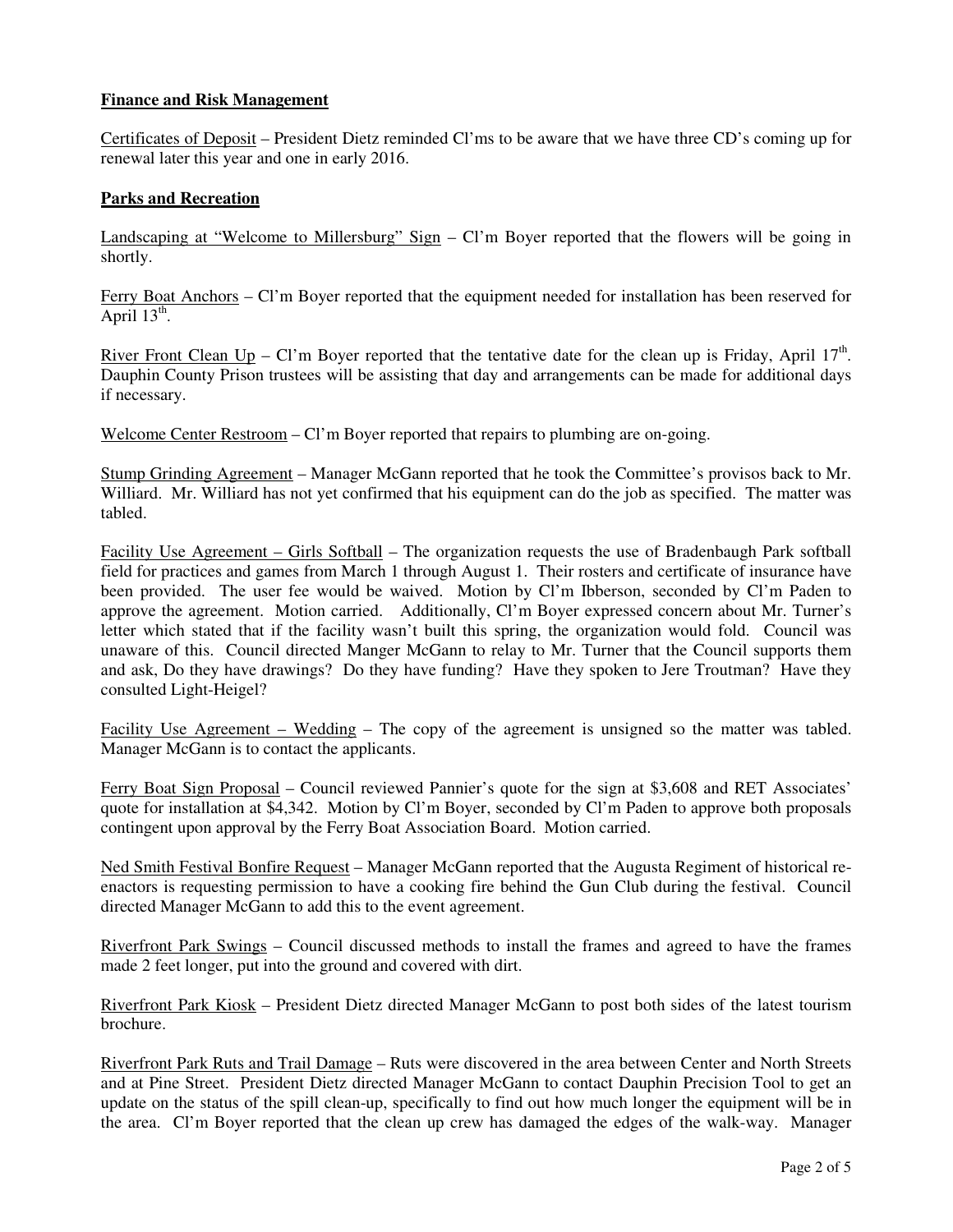# **Finance and Risk Management**

Certificates of Deposit – President Dietz reminded Cl'ms to be aware that we have three CD's coming up for renewal later this year and one in early 2016.

### **Parks and Recreation**

Landscaping at "Welcome to Millersburg" Sign – Cl'm Boyer reported that the flowers will be going in shortly.

Ferry Boat Anchors – Cl'm Boyer reported that the equipment needed for installation has been reserved for April  $13^{\text{th}}$ .

River Front Clean Up – Cl'm Boyer reported that the tentative date for the clean up is Friday, April 17<sup>th</sup>. Dauphin County Prison trustees will be assisting that day and arrangements can be made for additional days if necessary.

Welcome Center Restroom – Cl'm Boyer reported that repairs to plumbing are on-going.

Stump Grinding Agreement – Manager McGann reported that he took the Committee's provisos back to Mr. Williard. Mr. Williard has not yet confirmed that his equipment can do the job as specified. The matter was tabled.

Facility Use Agreement – Girls Softball – The organization requests the use of Bradenbaugh Park softball field for practices and games from March 1 through August 1. Their rosters and certificate of insurance have been provided. The user fee would be waived. Motion by Cl'm Ibberson, seconded by Cl'm Paden to approve the agreement. Motion carried. Additionally, Cl'm Boyer expressed concern about Mr. Turner's letter which stated that if the facility wasn't built this spring, the organization would fold. Council was unaware of this. Council directed Manger McGann to relay to Mr. Turner that the Council supports them and ask, Do they have drawings? Do they have funding? Have they spoken to Jere Troutman? Have they consulted Light-Heigel?

Facility Use Agreement – Wedding – The copy of the agreement is unsigned so the matter was tabled. Manager McGann is to contact the applicants.

Ferry Boat Sign Proposal – Council reviewed Pannier's quote for the sign at \$3,608 and RET Associates' quote for installation at \$4,342. Motion by Cl'm Boyer, seconded by Cl'm Paden to approve both proposals contingent upon approval by the Ferry Boat Association Board. Motion carried.

Ned Smith Festival Bonfire Request – Manager McGann reported that the Augusta Regiment of historical reenactors is requesting permission to have a cooking fire behind the Gun Club during the festival. Council directed Manager McGann to add this to the event agreement.

Riverfront Park Swings – Council discussed methods to install the frames and agreed to have the frames made 2 feet longer, put into the ground and covered with dirt.

Riverfront Park Kiosk – President Dietz directed Manager McGann to post both sides of the latest tourism brochure.

Riverfront Park Ruts and Trail Damage – Ruts were discovered in the area between Center and North Streets and at Pine Street. President Dietz directed Manager McGann to contact Dauphin Precision Tool to get an update on the status of the spill clean-up, specifically to find out how much longer the equipment will be in the area. Cl'm Boyer reported that the clean up crew has damaged the edges of the walk-way. Manager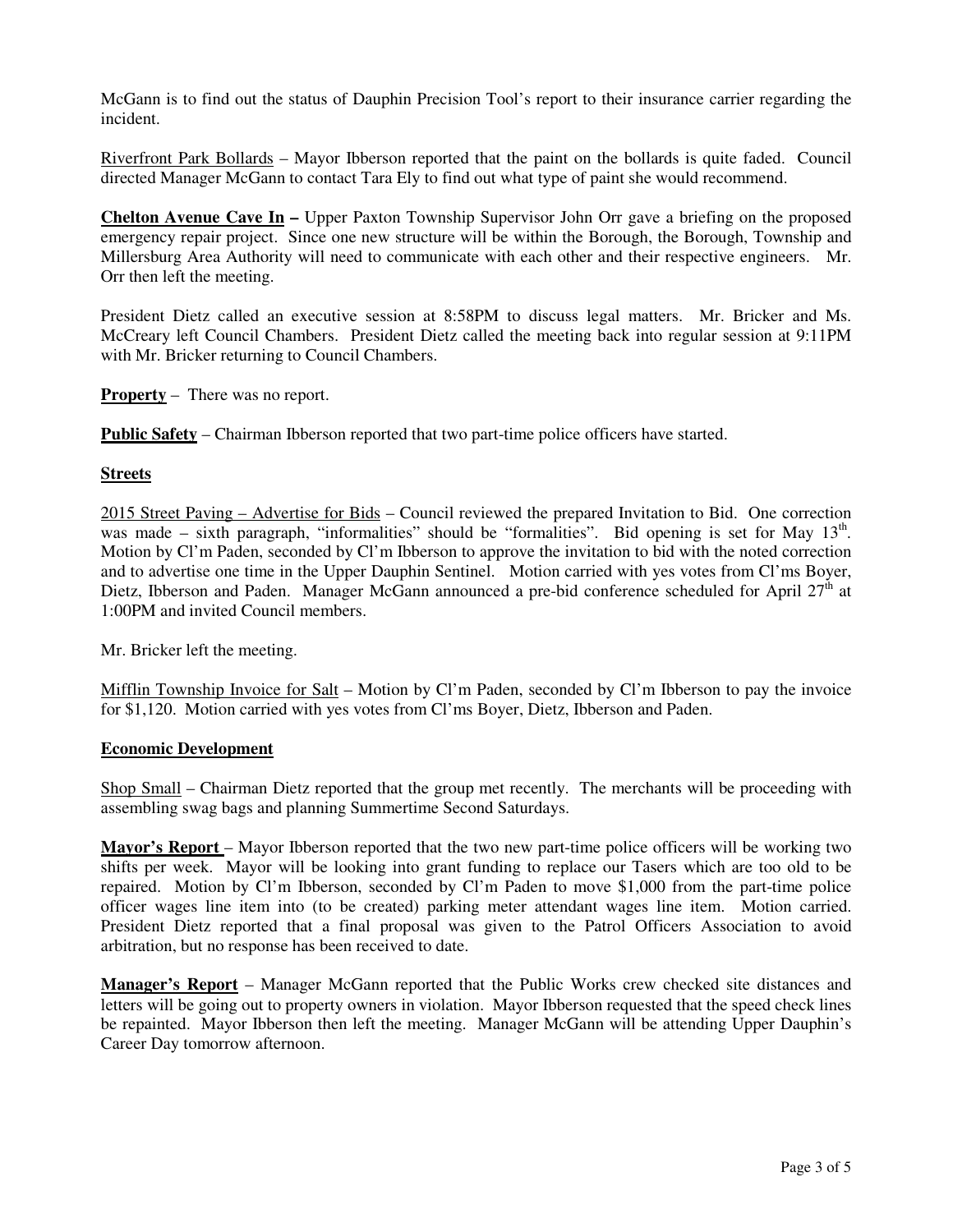McGann is to find out the status of Dauphin Precision Tool's report to their insurance carrier regarding the incident.

Riverfront Park Bollards – Mayor Ibberson reported that the paint on the bollards is quite faded. Council directed Manager McGann to contact Tara Ely to find out what type of paint she would recommend.

**Chelton Avenue Cave In –** Upper Paxton Township Supervisor John Orr gave a briefing on the proposed emergency repair project. Since one new structure will be within the Borough, the Borough, Township and Millersburg Area Authority will need to communicate with each other and their respective engineers. Mr. Orr then left the meeting.

President Dietz called an executive session at 8:58PM to discuss legal matters. Mr. Bricker and Ms. McCreary left Council Chambers. President Dietz called the meeting back into regular session at 9:11PM with Mr. Bricker returning to Council Chambers.

**Property** – There was no report.

**Public Safety** – Chairman Ibberson reported that two part-time police officers have started.

### **Streets**

2015 Street Paving – Advertise for Bids – Council reviewed the prepared Invitation to Bid. One correction was made – sixth paragraph, "informalities" should be "formalities". Bid opening is set for May 13<sup>th</sup>. Motion by Cl'm Paden, seconded by Cl'm Ibberson to approve the invitation to bid with the noted correction and to advertise one time in the Upper Dauphin Sentinel. Motion carried with yes votes from Cl'ms Boyer, Dietz, Ibberson and Paden. Manager McGann announced a pre-bid conference scheduled for April 27<sup>th</sup> at 1:00PM and invited Council members.

Mr. Bricker left the meeting.

Mifflin Township Invoice for Salt – Motion by Cl'm Paden, seconded by Cl'm Ibberson to pay the invoice for \$1,120. Motion carried with yes votes from Cl'ms Boyer, Dietz, Ibberson and Paden.

### **Economic Development**

Shop Small – Chairman Dietz reported that the group met recently. The merchants will be proceeding with assembling swag bags and planning Summertime Second Saturdays.

**Mayor's Report** – Mayor Ibberson reported that the two new part-time police officers will be working two shifts per week. Mayor will be looking into grant funding to replace our Tasers which are too old to be repaired. Motion by Cl'm Ibberson, seconded by Cl'm Paden to move \$1,000 from the part-time police officer wages line item into (to be created) parking meter attendant wages line item. Motion carried. President Dietz reported that a final proposal was given to the Patrol Officers Association to avoid arbitration, but no response has been received to date.

**Manager's Report** – Manager McGann reported that the Public Works crew checked site distances and letters will be going out to property owners in violation. Mayor Ibberson requested that the speed check lines be repainted. Mayor Ibberson then left the meeting. Manager McGann will be attending Upper Dauphin's Career Day tomorrow afternoon.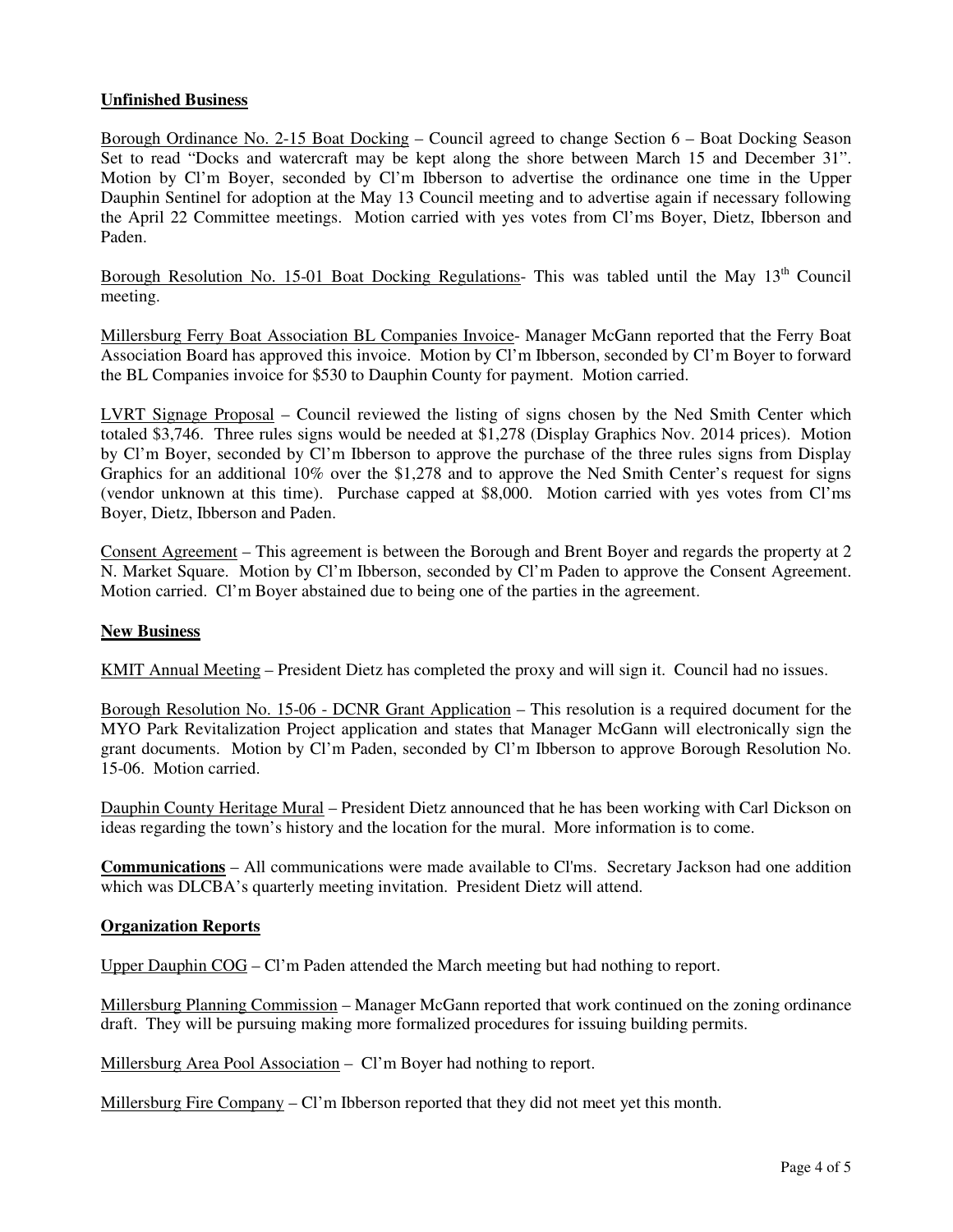# **Unfinished Business**

Borough Ordinance No. 2-15 Boat Docking – Council agreed to change Section 6 – Boat Docking Season Set to read "Docks and watercraft may be kept along the shore between March 15 and December 31". Motion by Cl'm Boyer, seconded by Cl'm Ibberson to advertise the ordinance one time in the Upper Dauphin Sentinel for adoption at the May 13 Council meeting and to advertise again if necessary following the April 22 Committee meetings. Motion carried with yes votes from Cl'ms Boyer, Dietz, Ibberson and Paden.

Borough Resolution No. 15-01 Boat Docking Regulations- This was tabled until the May  $13<sup>th</sup>$  Council meeting.

Millersburg Ferry Boat Association BL Companies Invoice- Manager McGann reported that the Ferry Boat Association Board has approved this invoice. Motion by Cl'm Ibberson, seconded by Cl'm Boyer to forward the BL Companies invoice for \$530 to Dauphin County for payment. Motion carried.

LVRT Signage Proposal – Council reviewed the listing of signs chosen by the Ned Smith Center which totaled \$3,746. Three rules signs would be needed at \$1,278 (Display Graphics Nov. 2014 prices). Motion by Cl'm Boyer, seconded by Cl'm Ibberson to approve the purchase of the three rules signs from Display Graphics for an additional 10% over the \$1,278 and to approve the Ned Smith Center's request for signs (vendor unknown at this time). Purchase capped at \$8,000. Motion carried with yes votes from Cl'ms Boyer, Dietz, Ibberson and Paden.

Consent Agreement – This agreement is between the Borough and Brent Boyer and regards the property at 2 N. Market Square. Motion by Cl'm Ibberson, seconded by Cl'm Paden to approve the Consent Agreement. Motion carried. Cl'm Boyer abstained due to being one of the parties in the agreement.

### **New Business**

KMIT Annual Meeting – President Dietz has completed the proxy and will sign it. Council had no issues.

Borough Resolution No. 15-06 - DCNR Grant Application – This resolution is a required document for the MYO Park Revitalization Project application and states that Manager McGann will electronically sign the grant documents. Motion by Cl'm Paden, seconded by Cl'm Ibberson to approve Borough Resolution No. 15-06. Motion carried.

Dauphin County Heritage Mural – President Dietz announced that he has been working with Carl Dickson on ideas regarding the town's history and the location for the mural. More information is to come.

**Communications** – All communications were made available to Cl'ms. Secretary Jackson had one addition which was DLCBA's quarterly meeting invitation. President Dietz will attend.

### **Organization Reports**

Upper Dauphin COG – Cl'm Paden attended the March meeting but had nothing to report.

Millersburg Planning Commission – Manager McGann reported that work continued on the zoning ordinance draft. They will be pursuing making more formalized procedures for issuing building permits.

Millersburg Area Pool Association – Cl'm Boyer had nothing to report.

Millersburg Fire Company – Cl'm Ibberson reported that they did not meet yet this month.